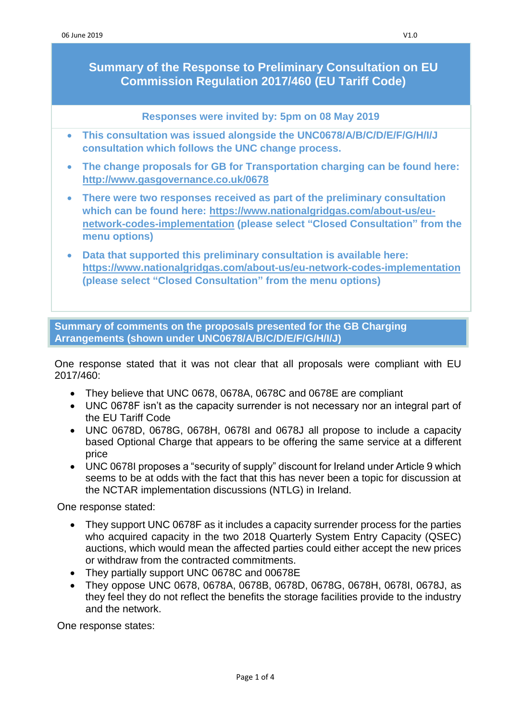**Summary of the Response to Preliminary Consultation on EU Commission Regulation 2017/460 (EU Tariff Code)**

**Responses were invited by: 5pm on 08 May 2019**

- **This consultation was issued alongside the UNC0678/A/B/C/D/E/F/G/H/I/J consultation which follows the UNC change process.**
- **The change proposals for GB for Transportation charging can be found here: <http://www.gasgovernance.co.uk/0678>**
- **There were two responses received as part of the preliminary consultation which can be found here: [https://www.nationalgridgas.com/about-us/eu](https://www.nationalgridgas.com/about-us/eu-network-codes-implementation)[network-codes-implementation](https://www.nationalgridgas.com/about-us/eu-network-codes-implementation) (please select "Closed Consultation" from the menu options)**
- **Data that supported this preliminary consultation is available here: <https://www.nationalgridgas.com/about-us/eu-network-codes-implementation> (please select "Closed Consultation" from the menu options)**

**Summary of comments on the proposals presented for the GB Charging Arrangements (shown under UNC0678/A/B/C/D/E/F/G/H/I/J)**

One response stated that it was not clear that all proposals were compliant with EU 2017/460:

- They believe that UNC 0678, 0678A, 0678C and 0678E are compliant
- UNC 0678F isn't as the capacity surrender is not necessary nor an integral part of the EU Tariff Code
- UNC 0678D, 0678G, 0678H, 0678I and 0678J all propose to include a capacity based Optional Charge that appears to be offering the same service at a different price
- UNC 0678I proposes a "security of supply" discount for Ireland under Article 9 which seems to be at odds with the fact that this has never been a topic for discussion at the NCTAR implementation discussions (NTLG) in Ireland.

One response stated:

- They support UNC 0678F as it includes a capacity surrender process for the parties who acquired capacity in the two 2018 Quarterly System Entry Capacity (QSEC) auctions, which would mean the affected parties could either accept the new prices or withdraw from the contracted commitments.
- They partially support UNC 0678C and 00678E
- They oppose UNC 0678, 0678A, 0678B, 0678D, 0678G, 0678H, 0678I, 0678J, as they feel they do not reflect the benefits the storage facilities provide to the industry and the network.

One response states: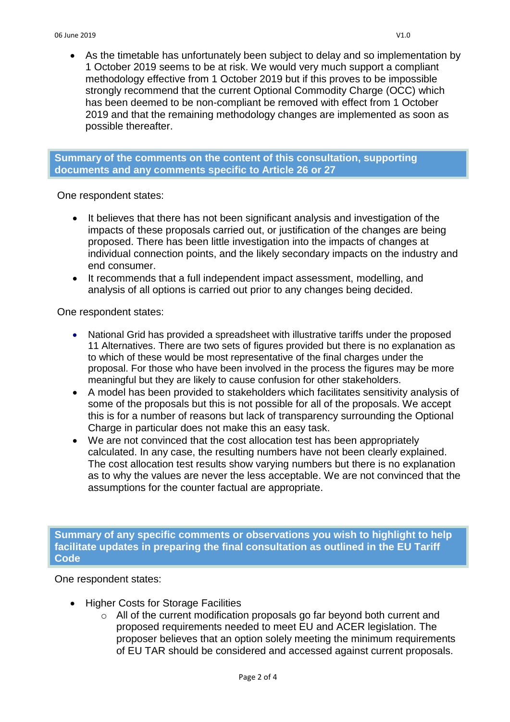• As the timetable has unfortunately been subject to delay and so implementation by 1 October 2019 seems to be at risk. We would very much support a compliant methodology effective from 1 October 2019 but if this proves to be impossible strongly recommend that the current Optional Commodity Charge (OCC) which has been deemed to be non-compliant be removed with effect from 1 October 2019 and that the remaining methodology changes are implemented as soon as possible thereafter.

## **Summary of the comments on the content of this consultation, supporting documents and any comments specific to Article 26 or 27**

One respondent states:

- It believes that there has not been significant analysis and investigation of the impacts of these proposals carried out, or justification of the changes are being proposed. There has been little investigation into the impacts of changes at individual connection points, and the likely secondary impacts on the industry and end consumer.
- It recommends that a full independent impact assessment, modelling, and analysis of all options is carried out prior to any changes being decided.

One respondent states:

- National Grid has provided a spreadsheet with illustrative tariffs under the proposed 11 Alternatives. There are two sets of figures provided but there is no explanation as to which of these would be most representative of the final charges under the proposal. For those who have been involved in the process the figures may be more meaningful but they are likely to cause confusion for other stakeholders.
- A model has been provided to stakeholders which facilitates sensitivity analysis of some of the proposals but this is not possible for all of the proposals. We accept this is for a number of reasons but lack of transparency surrounding the Optional Charge in particular does not make this an easy task.
- We are not convinced that the cost allocation test has been appropriately calculated. In any case, the resulting numbers have not been clearly explained. The cost allocation test results show varying numbers but there is no explanation as to why the values are never the less acceptable. We are not convinced that the assumptions for the counter factual are appropriate.

**Summary of any specific comments or observations you wish to highlight to help facilitate updates in preparing the final consultation as outlined in the EU Tariff Code**

One respondent states:

- Higher Costs for Storage Facilities
	- o All of the current modification proposals go far beyond both current and proposed requirements needed to meet EU and ACER legislation. The proposer believes that an option solely meeting the minimum requirements of EU TAR should be considered and accessed against current proposals.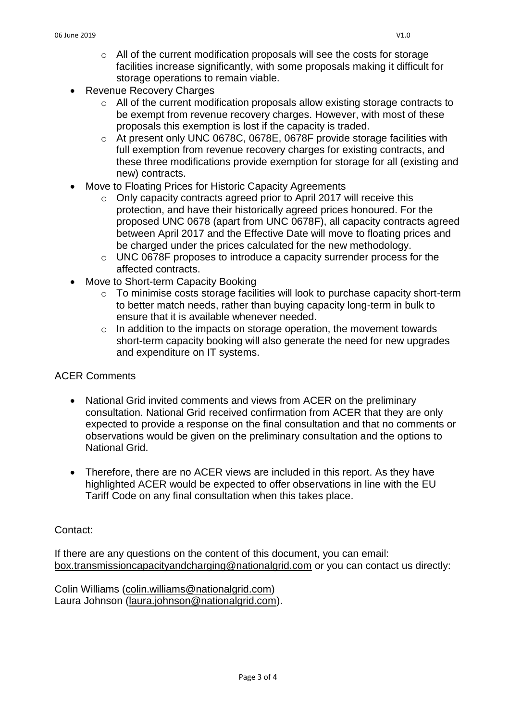- o All of the current modification proposals will see the costs for storage facilities increase significantly, with some proposals making it difficult for storage operations to remain viable.
- Revenue Recovery Charges
	- o All of the current modification proposals allow existing storage contracts to be exempt from revenue recovery charges. However, with most of these proposals this exemption is lost if the capacity is traded.
	- o At present only UNC 0678C, 0678E, 0678F provide storage facilities with full exemption from revenue recovery charges for existing contracts, and these three modifications provide exemption for storage for all (existing and new) contracts.
- Move to Floating Prices for Historic Capacity Agreements
	- o Only capacity contracts agreed prior to April 2017 will receive this protection, and have their historically agreed prices honoured. For the proposed UNC 0678 (apart from UNC 0678F), all capacity contracts agreed between April 2017 and the Effective Date will move to floating prices and be charged under the prices calculated for the new methodology.
	- o UNC 0678F proposes to introduce a capacity surrender process for the affected contracts.
- Move to Short-term Capacity Booking
	- o To minimise costs storage facilities will look to purchase capacity short-term to better match needs, rather than buying capacity long-term in bulk to ensure that it is available whenever needed.
	- $\circ$  In addition to the impacts on storage operation, the movement towards short-term capacity booking will also generate the need for new upgrades and expenditure on IT systems.

### ACER Comments

- National Grid invited comments and views from ACER on the preliminary consultation. National Grid received confirmation from ACER that they are only expected to provide a response on the final consultation and that no comments or observations would be given on the preliminary consultation and the options to National Grid.
- Therefore, there are no ACER views are included in this report. As they have highlighted ACER would be expected to offer observations in line with the EU Tariff Code on any final consultation when this takes place.

#### Contact:

If there are any questions on the content of this document, you can email: [box.transmissioncapacityandcharging@nationalgrid.com](mailto:box.transmissioncapacityandcharging@nationalgrid.com) or you can contact us directly:

Colin Williams [\(colin.williams@nationalgrid.com\)](mailto:colin.williams@nationalgrid.com) Laura Johnson [\(laura.johnson@nationalgrid.com\)](mailto:laura.johnson@nationalgrid.com).